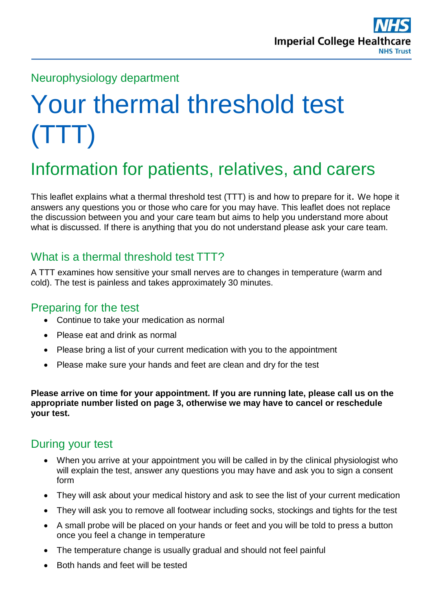

#### Neurophysiology department

# Your thermal threshold test (TTT)

## Information for patients, relatives, and carers

This leaflet explains what a thermal threshold test (TTT) is and how to prepare for it. We hope it answers any questions you or those who care for you may have. This leaflet does not replace the discussion between you and your care team but aims to help you understand more about what is discussed. If there is anything that you do not understand please ask your care team.

#### What is a thermal threshold test TTT?

A TTT examines how sensitive your small nerves are to changes in temperature (warm and cold). The test is painless and takes approximately 30 minutes.

#### Preparing for the test

- Continue to take your medication as normal
- Please eat and drink as normal
- Please bring a list of your current medication with you to the appointment
- Please make sure your hands and feet are clean and dry for the test

**Please arrive on time for your appointment. If you are running late, please call us on the appropriate number listed on page 3, otherwise we may have to cancel or reschedule your test.** 

#### During your test

- When you arrive at your appointment you will be called in by the clinical physiologist who will explain the test, answer any questions you may have and ask you to sign a consent form
- They will ask about your medical history and ask to see the list of your current medication
- They will ask you to remove all footwear including socks, stockings and tights for the test
- A small probe will be placed on your hands or feet and you will be told to press a button once you feel a change in temperature
- The temperature change is usually gradual and should not feel painful
- Both hands and feet will be tested